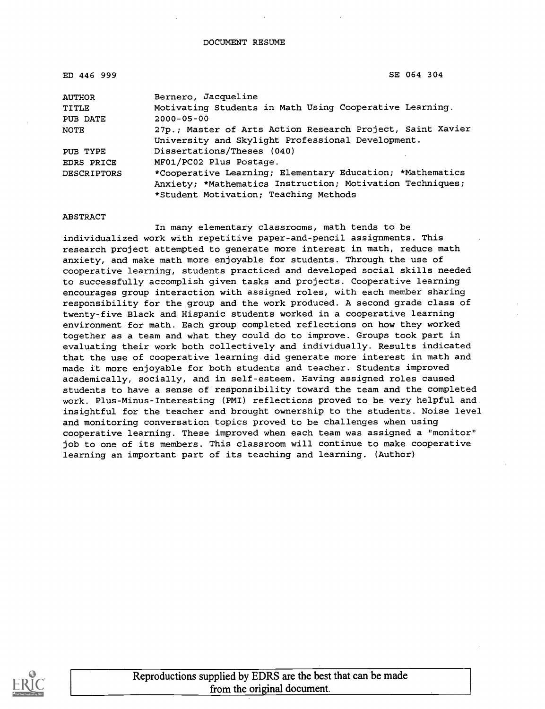| ED 446 999         | SE 064 304                                                 |
|--------------------|------------------------------------------------------------|
| <b>AUTHOR</b>      | Bernero, Jacqueline                                        |
| TITLE              | Motivating Students in Math Using Cooperative Learning.    |
| PUB DATE           | $2000 - 05 - 00$                                           |
| NOTE               | 27p.; Master of Arts Action Research Project, Saint Xavier |
|                    | University and Skylight Professional Development.          |
| PUB TYPE           | Dissertations/Theses (040)                                 |
| EDRS PRICE         | MF01/PC02 Plus Postage.                                    |
| <b>DESCRIPTORS</b> | *Cooperative Learning; Elementary Education; *Mathematics  |
|                    | Anxiety; *Mathematics Instruction; Motivation Techniques;  |
|                    | *Student Motivation; Teaching Methods                      |

ABSTRACT

In many elementary classrooms, math tends to be individualized work with repetitive paper-and-pencil assignments. This research project attempted to generate more interest in math, reduce math anxiety, and make math more enjoyable for students. Through the use of cooperative learning, students practiced and developed social skills needed to successfully accomplish given tasks and projects. Cooperative learning encourages group interaction with assigned roles, with each member sharing responsibility for the group and the work produced. A second grade class of twenty-five Black and Hispanic students worked in a cooperative learning environment for math. Each group completed reflections on how they worked together as a team and what they could do to improve. Groups took part in evaluating their work both collectively and individually. Results indicated that the use of cooperative learning did generate more interest in math and made it more enjoyable for both students and teacher. Students improved academically, socially, and in self-esteem. Having assigned roles caused students to have a sense of responsibility toward the team and the completed work. Plus-Minus-Interesting (PMI) reflections proved to be very helpful and insightful for the teacher and brought ownership to the students. Noise level and monitoring conversation topics proved to be challenges when using cooperative learning. These improved when each team was assigned a "monitor" job to one of its members. This classroom will continue to make cooperative learning an important part of its teaching and learning. (Author)

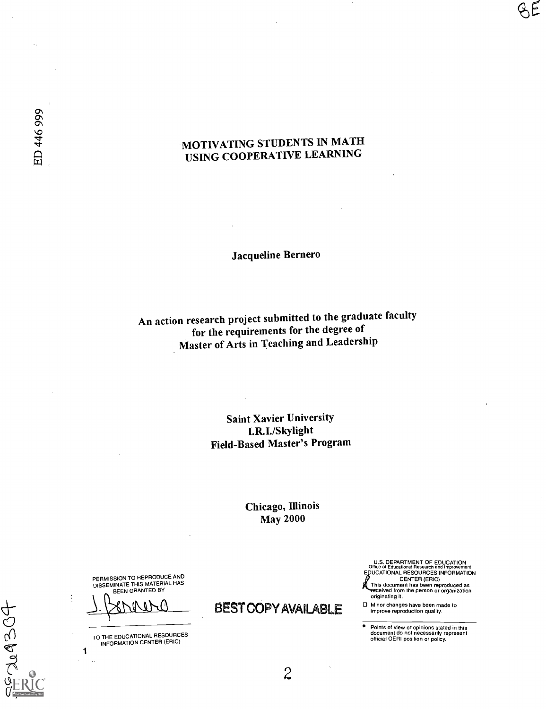## MOTIVATING STUDENTS IN MATH USING COOPERATIVE LEARNING

Jacqueline Bernero

An action research project submitted to the graduate faculty for the requirements for the degree of Master of Arts in Teaching and Leadership

## Saint Xavier University I.R.I./Skylight Field-Based Master's Program

#### Chicago, Illinois May 2000

PERMISSION TO REPRODUCE AND DISSEMINATE THIS MATERIAL HAS BEEN GRANTED BY

TO THE EDUCATIONAL RESOURCES INFORMATION CENTER (ERIC)

1

209304

BEST COPY AVAILABLE

U.S. DEPARTMENT OF EDUCATION<br>Office of Educational Research and Improvement<br>EDUCATIONAL RESOURCES INFORMATION<br>A This document has been reproduced as <del>re</del>ceived from the person or organization<br>originating it.

Minor changes have been made to improve reproduction quality.

Points of view or opinions stated in this<br>document do not necessarily represent<br>official OERI position or policy.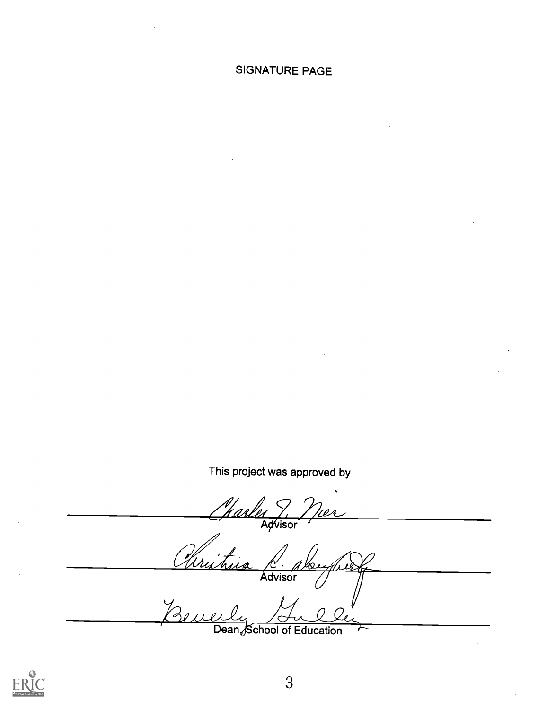## SIGNATURE PAGE

This project was approved by

27<br>Advisor Christina C. alugh Loughe Advisor

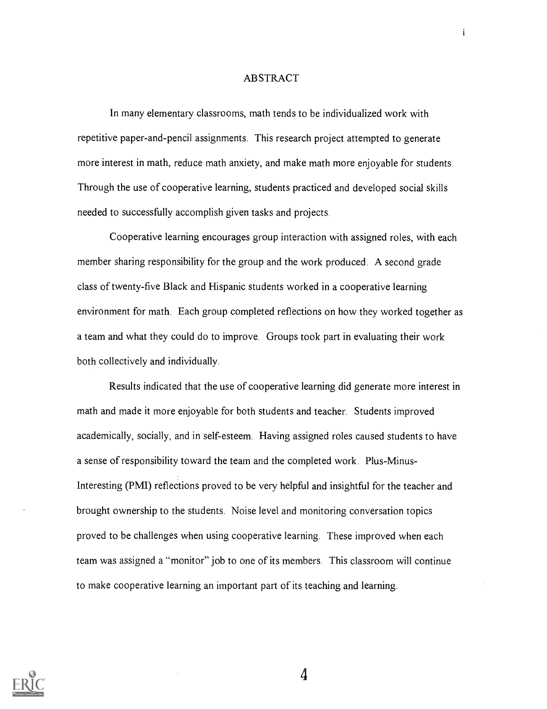#### ABSTRACT

 $\mathbf{i}$ 

In many elementary classrooms, math tends to be individualized work with repetitive paper-and-pencil assignments. This research project attempted to generate more interest in math, reduce math anxiety, and make math more enjoyable for students. Through the use of cooperative learning, students practiced and developed social skills needed to successfully accomplish given tasks and projects.

Cooperative learning encourages group interaction with assigned roles, with each member sharing responsibility for the group and the work produced. A second grade class of twenty-five Black and Hispanic students worked in a cooperative learning environment for math. Each group completed reflections on how they worked together as a team and what they could do to improve. Groups took part in evaluating their work both collectively and individually.

Results indicated that the use of cooperative learning did generate more interest in math and made it more enjoyable for both students and teacher. Students improved academically, socially, and in self-esteem. Having assigned roles caused students to have a sense of responsibility toward the team and the completed work. Plus-Minus-Interesting (PMI) reflections proved to be very helpful and insightful for the teacher and brought ownership to the students. Noise level and monitoring conversation topics proved to be challenges when using cooperative learning. These improved when each team was assigned a "monitor" job to one of its members. This classroom will continue to make cooperative learning an important part of its teaching and learning.



 $\Delta$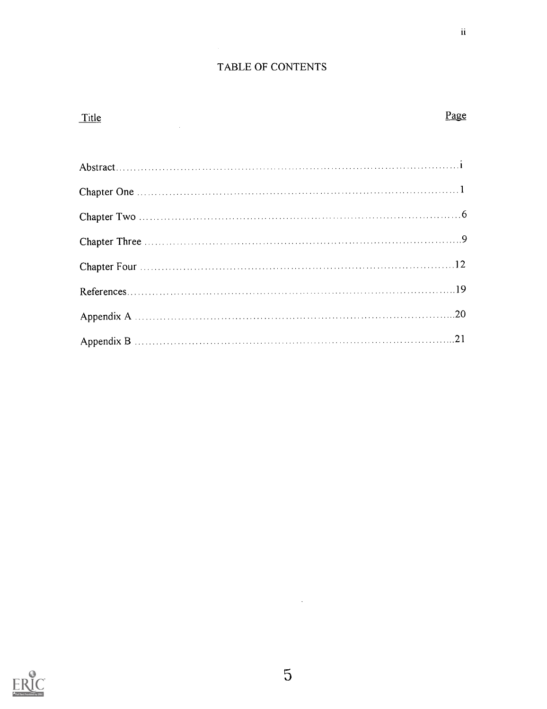#### TABLE OF CONTENTS

# Title **Page** Abstract Chapter One <sup>1</sup> Chapter Two  $\ldots$  6 Chapter Three Chapter Four 12 References 19 Appendix A 20 Appendix B 21

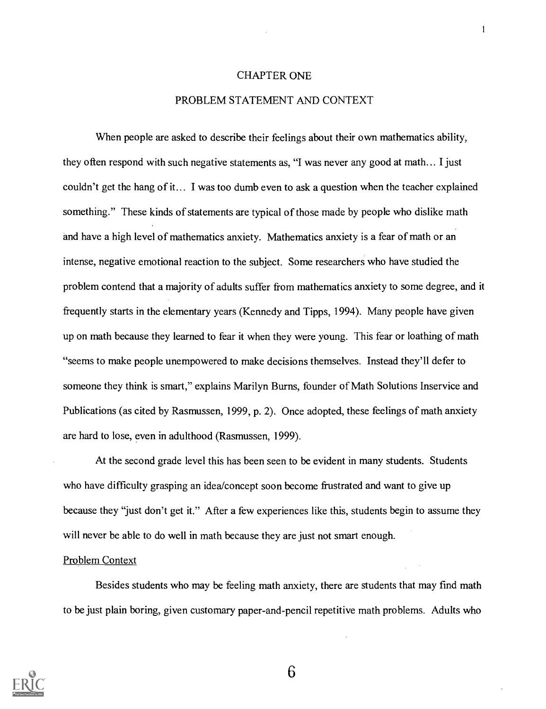#### CHAPTER ONE

 $\mathbf{I}$ 

#### PROBLEM STATEMENT AND CONTEXT

When people are asked to describe their feelings about their own mathematics ability, they often respond with such negative statements as, "I was never any good at math... I just couldn't get the hang of it... I was too dumb even to ask a question when the teacher explained something." These kinds of statements are typical of those made by people who dislike math and have a high level of mathematics anxiety. Mathematics anxiety is a fear of math or an intense, negative emotional reaction to the subject. Some researchers who have studied the problem contend that a majority of adults suffer from mathematics anxiety to some degree, and it frequently starts in the elementary years (Kennedy and Tipps, 1994). Many people have given up on math because they learned to fear it when they were young. This fear or loathing of math "seems to make people unempowered to make decisions themselves. Instead they'll defer to someone they think is smart," explains Marilyn Burns, founder of Math Solutions Inservice and Publications (as cited by Rasmussen, 1999, p. 2). Once adopted, these feelings of math anxiety are hard to lose, even in adulthood (Rasmussen, 1999).

At the second grade level this has been seen to be evident in many students. Students who have difficulty grasping an idea/concept soon become frustrated and want to give up because they "just don't get it." After a few experiences like this, students begin to assume they will never be able to do well in math because they are just not smart enough.

#### Problem Context

Besides students who may be feeling math anxiety, there are students that may find math to be just plain boring, given customary paper-and-pencil repetitive math problems. Adults who

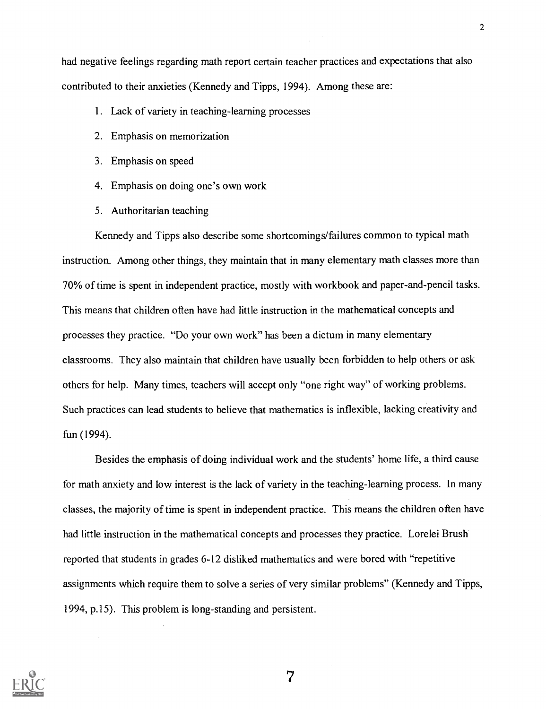had negative feelings regarding math report certain teacher practices and expectations that also contributed to their anxieties (Kennedy and Tipps, 1994). Among these are:

- 1. Lack of variety in teaching-learning processes
- 2. Emphasis on memorization
- 3. Emphasis on speed
- 4. Emphasis on doing one's own work
- 5. Authoritarian teaching

Kennedy and Tipps also describe some shortcomings/failures common to typical math instruction. Among other things, they maintain that in many elementary math classes more than 70% of time is spent in independent practice, mostly with workbook and paper-and-pencil tasks. This means that children often have had little instruction in the mathematical concepts and processes they practice. "Do your own work" has been a dictum in many elementary classrooms. They also maintain that children have usually been forbidden to help others or ask others for help. Many times, teachers will accept only "one right way" of working problems. Such practices can lead students to believe that mathematics is inflexible, lacking creativity and fun (1994).

Besides the emphasis of doing individual work and the students' home life, a third cause for math anxiety and low interest is the lack of variety in the teaching-learning process. In many classes, the majority of time is spent in independent practice. This means the children often have had little instruction in the mathematical concepts and processes they practice. Lorelei Brush reported that students in grades 6-12 disliked mathematics and were bored with "repetitive assignments which require them to solve a series of very similar problems" (Kennedy and Tipps, 1994, p.15). This problem is long-standing and persistent.

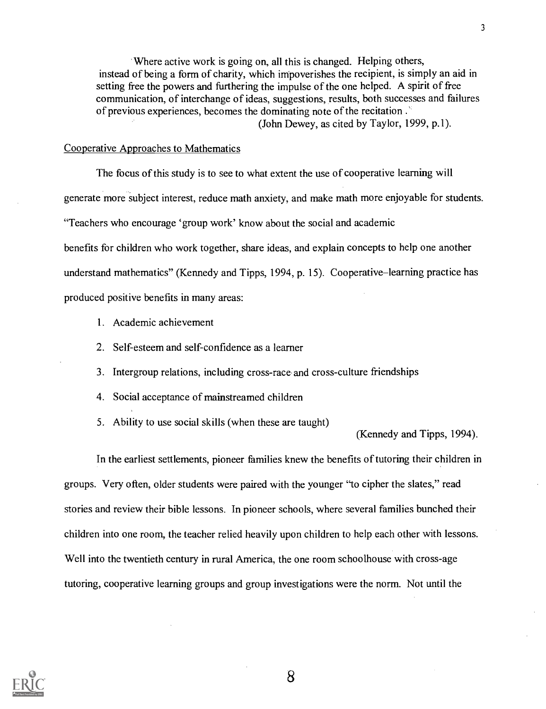'Where active work is going on, all this is changed. Helping others, instead of being a form of charity, which impoverishes the recipient, is simply an aid in setting free the powers and furthering the impulse of the one helped. A spirit of free communication, of interchange of ideas, suggestions, results, both successes and failures of previous experiences, becomes the dominating note of the recitation. (John Dewey, as cited by Taylor, 1999, p.1).

#### Cooperative Approaches to Mathematics

The focus of this study is to see to what extent the use of cooperative learning will generate more subject interest, reduce math anxiety, and make math more enjoyable for students. "Teachers who encourage 'group work' know about the social and academic benefits for children who work together, share ideas, and explain concepts to help one another understand mathematics" (Kennedy and Tipps, 1994, p. 15). Cooperative-learning practice has produced positive benefits in many areas:

- 1. Academic achievement
- 2. Self-esteem and self-confidence as a learner
- 3. Intergroup relations, including cross-race and cross-culture friendships
- 4. Social acceptance of mainstreamed children
- 5. Ability to use social skills (when these are taught)

(Kennedy and Tipps, 1994).

In the earliest settlements, pioneer families knew the benefits of tutoring their children in groups. Very often, older students were paired with the younger "to cipher the slates," read stories and review their bible lessons. In pioneer schools, where several families bunched their children into one room, the teacher relied heavily upon children to help each other with lessons. Well into the twentieth century in rural America, the one room schoolhouse with cross-age tutoring, cooperative learning groups and group investigations were the norm. Not until the

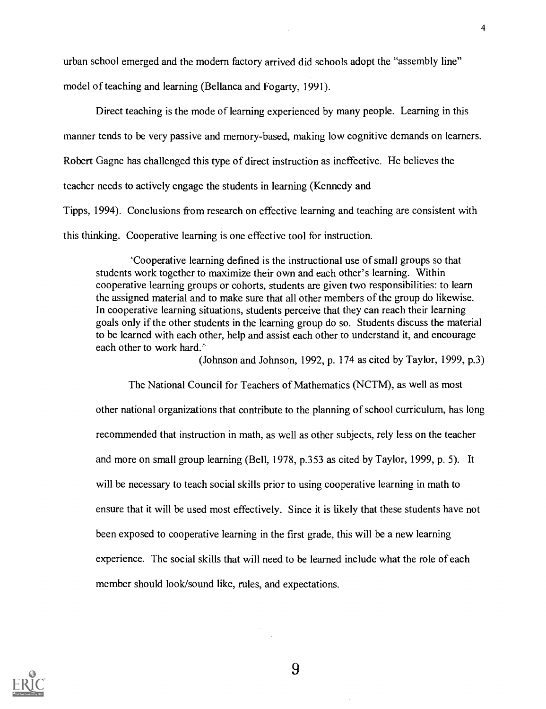urban school emerged and the modern factory arrived did schools adopt the "assembly line" model of teaching and learning (Bellanca and Fogarty, 1991).

Direct teaching is the mode of learning experienced by many people. Learning in this manner tends to be very passive and memory-based, making low cognitive demands on learners. Robert Gagne has challenged this type of direct instruction as ineffective. He believes the teacher needs to actively engage the students in learning (Kennedy and Tipps, 1994). Conclusions from research on effective learning and teaching are consistent with this thinking. Cooperative learning is one effective tool for instruction.

`Cooperative learning defined is the instructional use of small groups so that students work together to maximize their own and each other's learning. Within cooperative learning groups or cohorts, students are given two responsibilities: to learn the assigned material and to make sure that all other members of the group do likewise. In cooperative learning situations, students perceive that they can reach their learning goals only if the other students in the learning group do so. Students discuss the material to be learned with each other, help and assist each other to understand it, and encourage each other to work hard.'

(Johnson and Johnson, 1992, p. 174 as cited by Taylor, 1999, p.3)

The National Council for Teachers of Mathematics (NCTM), as well as most other national organizations that contribute to the planning of school curriculum, has long recommended that instruction in math, as well as other subjects, rely less on the teacher and more on small group learning (Bell, 1978, p.353 as cited by Taylor, 1999, p. 5). It will be necessary to teach social skills prior to using cooperative learning in math to ensure that it will be used most effectively. Since it is likely that these students have not been exposed to cooperative learning in the first grade, this will be a new learning experience. The social skills that will need to be learned include what the role of each member should look/sound like, rules, and expectations.

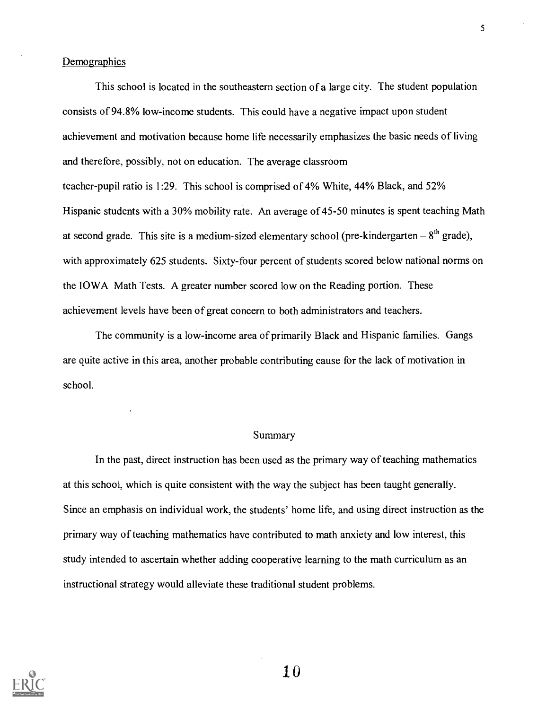#### Demographics

This school is located in the southeastern section of a large city. The student population consists of 94.8% low-income students. This could have a negative impact upon student achievement and motivation because home life necessarily emphasizes the basic needs of living and therefore, possibly, not on education. The average classroom teacher-pupil ratio is 1:29. This school is comprised of 4% White, 44% Black, and 52% Hispanic students with a 30% mobility rate. An average of 45-50 minutes is spent teaching Math at second grade. This site is a medium-sized elementary school (pre-kindergarten  $-8<sup>th</sup>$  grade), with approximately 625 students. Sixty-four percent of students scored below national norms on the IOWA Math Tests. A greater number scored low on the Reading portion. These achievement levels have been of great concern to both administrators and teachers.

The community is a low-income area of primarily Black and Hispanic families. Gangs are quite active in this area, another probable contributing cause for the lack of motivation in school.

#### Summary

In the past, direct instruction has been used as the primary way of teaching mathematics at this school, which is quite consistent with the way the subject has been taught generally. Since an emphasis on individual work, the students' home life, and using direct instruction as the primary way of teaching mathematics have contributed to math anxiety and low interest, this study intended to ascertain whether adding cooperative learning to the math curriculum as an instructional strategy would alleviate these traditional student problems.

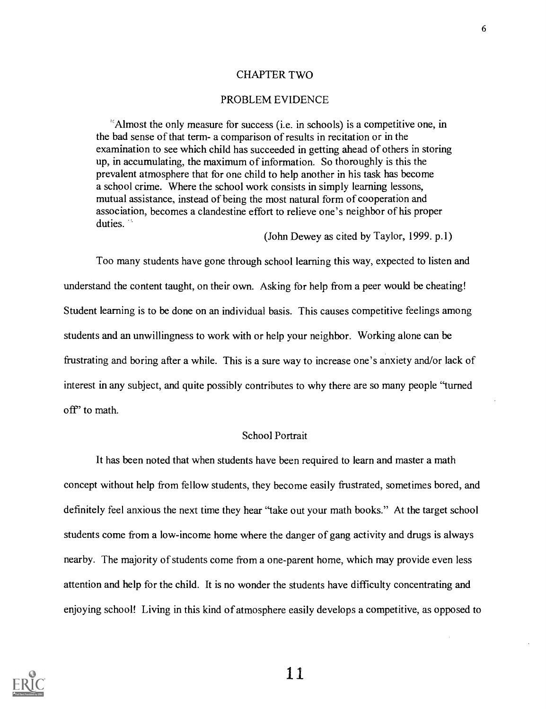#### CHAPTER TWO

#### PROBLEM EVIDENCE

"Almost the only measure for success (i.e. in schools) is a competitive one, in the bad sense of that term- a comparison of results in recitation or in the examination to see which child has succeeded in getting ahead of others in storing up, in accumulating, the maximum of information. So thoroughly is this the prevalent atmosphere that for one child to help another in his task has become a school crime. Where the school work consists in simply learning lessons, mutual assistance, instead of being the most natural form of cooperation and association, becomes a clandestine effort to relieve one's neighbor of his proper duties.<sup>75</sup>

(John Dewey as cited by Taylor, 1999. p.1)

Too many students have gone through school learning this way, expected to listen and understand the content taught, on their own. Asking for help from a peer would be cheating! Student learning is to be done on an individual basis. This causes competitive feelings among students and an unwillingness to work with or help your neighbor. Working alone can be frustrating and boring after a while. This is a sure way to increase one's anxiety and/or lack of interest in any subject, and quite possibly contributes to why there are so many people "turned off' to math.

#### School Portrait

It has been noted that when students have been required to learn and master a math concept without help from fellow students, they become easily frustrated, sometimes bored, and definitely feel anxious the next time they hear "take out your math books." At the target school students come from a low-income home where the danger of gang activity and drugs is always nearby. The majority of students come from a one-parent home, which may provide even less attention and help for the child. It is no wonder the students have difficulty concentrating and enjoying school! Living in this kind of atmosphere easily develops a competitive, as opposed to

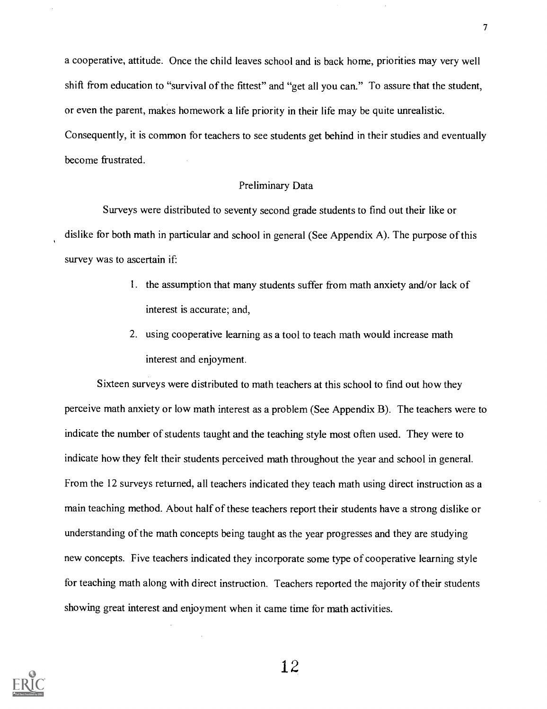a cooperative, attitude. Once the child leaves school and is back home, priorities may very well shift from education to "survival of the fittest" and "get all you can." To assure that the student, or even the parent, makes homework a life priority in their life may be quite unrealistic. Consequently, it is common for teachers to see students get behind in their studies and eventually become frustrated.

#### Preliminary Data

Surveys were distributed to seventy second grade students to find out their like or dislike for both math in particular and school in general (See Appendix A). The purpose of this survey was to ascertain if:

- 1. the assumption that many students suffer from math anxiety and/or lack of interest is accurate; and,
- 2. using cooperative learning as a tool to teach math would increase math interest and enjoyment.

Sixteen surveys were distributed to math teachers at this school to find out how they perceive math anxiety or low math interest as a problem (See Appendix B). The teachers were to indicate the number of students taught and the teaching style most often used. They were to indicate how they felt their students perceived math throughout the year and school in general. From the 12 surveys returned, all teachers indicated they teach math using direct instruction as a main teaching method. About half of these teachers report their students have a strong dislike or understanding of the math concepts being taught as the year progresses and they are studying new concepts. Five teachers indicated they incorporate some type of cooperative learning style for teaching math along with direct instruction. Teachers reported the majority of their students showing great interest and enjoyment when it came time for math activities.

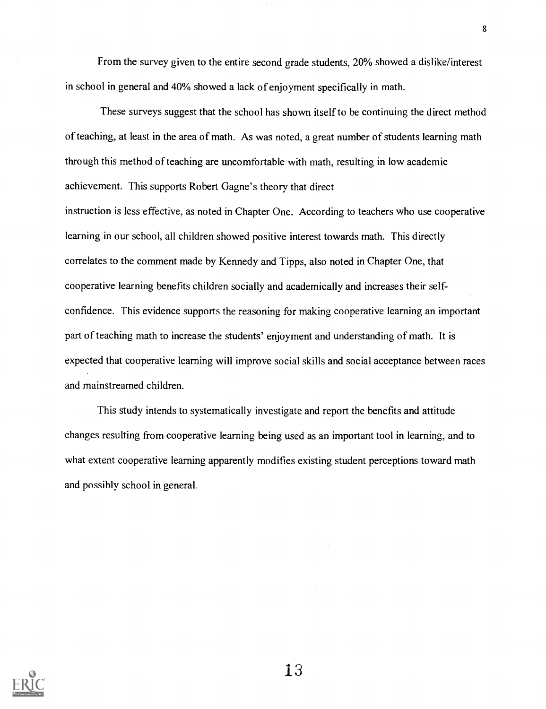From the survey given to the entire second grade students, 20% showed a dislike/interest in school in general and 40% showed a lack of enjoyment specifically in math.

These surveys suggest that the school has shown itself to be continuing the direct method of teaching, at least in the area of math. As was noted, a great number of students learning math through this method of teaching are uncomfortable with math, resulting in low academic achievement. This supports Robert Gagne's theory that direct

instruction is less effective, as noted in Chapter One. According to teachers who use cooperative learning in our school, all children showed positive interest towards math. This directly correlates to the comment made by Kennedy and Tipps, also noted in Chapter One, that cooperative learning benefits children socially and academically and increases their selfconfidence. This evidence supports the reasoning for making cooperative learning an important part of teaching math to increase the students' enjoyment and understanding of math. It is expected that cooperative learning will improve social skills and social acceptance between races and mainstreamed children.

This study intends to systematically investigate and report the benefits and attitude changes resulting from cooperative learning being used as an important tool in learning, and to what extent cooperative learning apparently modifies existing student perceptions toward math and possibly school in general.

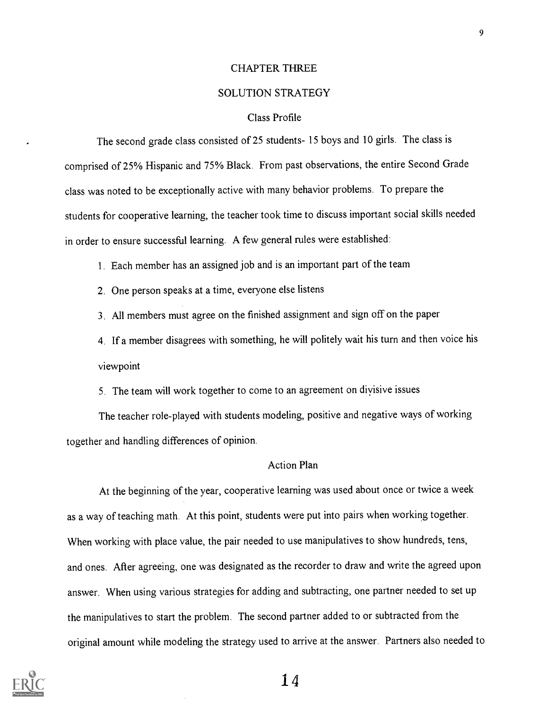#### CHAPTER THREE

#### SOLUTION STRATEGY

#### Class Profile

The second grade class consisted of 25 students- 15 boys and 10 girls. The class is comprised of 25% Hispanic and 75% Black. From past observations, the entire Second Grade class was noted to be exceptionally active with many behavior problems. To prepare the students for cooperative learning, the teacher took time to discuss important social skills needed in order to ensure successful learning. A few general rules were established:

1. Each member has an assigned job and is an important part of the team

- 2. One person speaks at a time, everyone else listens
- 3. All members must agree on the finished assignment and sign off on the paper

4. If a member disagrees with something, he will politely wait his turn and then voice his viewpoint

5. The team will work together to come to an agreement on divisive issues

The teacher role-played with students modeling, positive and negative ways of working together and handling differences of opinion.

#### Action Plan

At the beginning of the year, cooperative learning was used about once or twice a week as a way of teaching math. At this point, students were put into pairs when working together. When working with place value, the pair needed to use manipulatives to show hundreds, tens, and ones. After agreeing, one was designated as the recorder to draw and write the agreed upon answer. When using various strategies for adding and subtracting, one partner needed to set up the manipulatives to start the problem. The second partner added to or subtracted from the original amount while modeling the strategy used to arrive at the answer. Partners also needed to

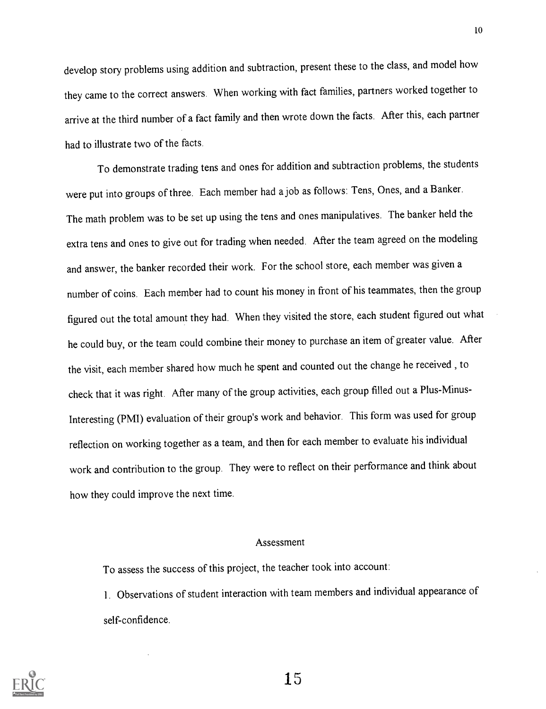develop story problems using addition and subtraction, present these to the class, and model how they came to the correct answers. When working with fact families, partners worked together to arrive at the third number of a fact family and then wrote down the facts. After this, each partner had to illustrate two of the facts.

To demonstrate trading tens and ones for addition and subtraction problems, the students were put into groups of three. Each member had a job as follows: Tens, Ones, and a Banker. The math problem was to be set up using the tens and ones manipulatives. The banker held the extra tens and ones to give out for trading when needed. After the team agreed on the modeling and answer, the banker recorded their work. For the school store, each member was given a number of coins. Each member had to count his money in front of his teammates, then the group figured out the total amount they had. When they visited the store, each student figured out what he could buy, or the team could combine their money to purchase an item of greater value. After the visit, each member shared how much he spent and counted out the change he received , to check that it was right. After many of the group activities, each group filled out a Plus-Minus-Interesting (PMI) evaluation of their group's work and behavior. This form was used for group reflection on working together as a team, and then for each member to evaluate his individual work and contribution to the group. They were to reflect on their performance and think about how they could improve the next time.

#### Assessment

To assess the success of this project, the teacher took into account:

1. Observations of student interaction with team members and individual appearance of self-confidence.

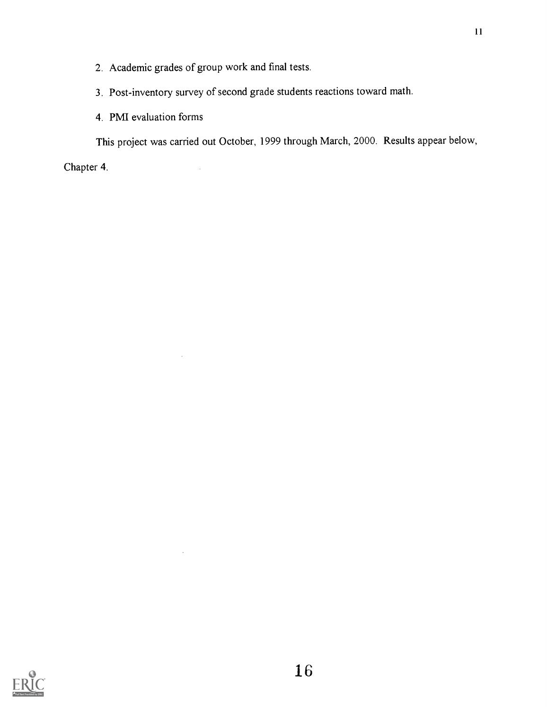2. Academic grades of group work and final tests.

 $\bar{\beta}$ 

 $\mathcal{L}$ 

 $\bar{\alpha}$ 

- 3. Post-inventory survey of second grade students reactions toward math.
- 4. PMI evaluation forms

This project was carried out October, 1999 through March, 2000. Results appear below,

Chapter 4.

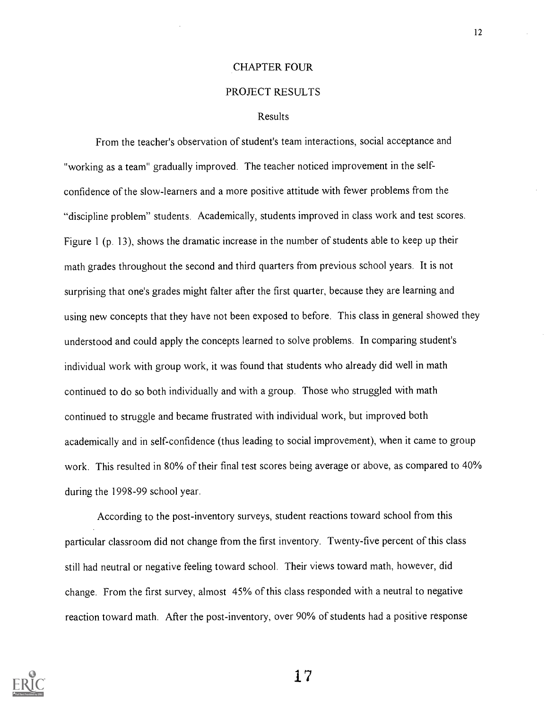#### CHAPTER FOUR

#### PROJECT RESULTS

#### Results

From the teacher's observation of student's team interactions, social acceptance and "working as a team" gradually improved. The teacher noticed improvement in the selfconfidence of the slow-learners and a more positive attitude with fewer problems from the "discipline problem" students. Academically, students improved in class work and test scores. Figure 1 (p. 13), shows the dramatic increase in the number of students able to keep up their math grades throughout the second and third quarters from previous school years. It is not surprising that one's grades might falter after the first quarter, because they are learning and using new concepts that they have not been exposed to before. This class in general showed they understood and could apply the concepts learned to solve problems. In comparing student's individual work with group work, it was found that students who already did well in math continued to do so both individually and with a group. Those who struggled with math continued to struggle and became frustrated with individual work, but improved both academically and in self-confidence (thus leading to social improvement), when it came to group work. This resulted in 80% of their final test scores being average or above, as compared to 40% during the 1998-99 school year.

According to the post-inventory surveys, student reactions toward school from this particular classroom did not change from the first inventory. Twenty-five percent of this class still had neutral or negative feeling toward school. Their views toward math, however, did change. From the first survey, almost 45% of this class responded with a neutral to negative reaction toward math. After the post-inventory, over 90% of students had a positive response



 $17$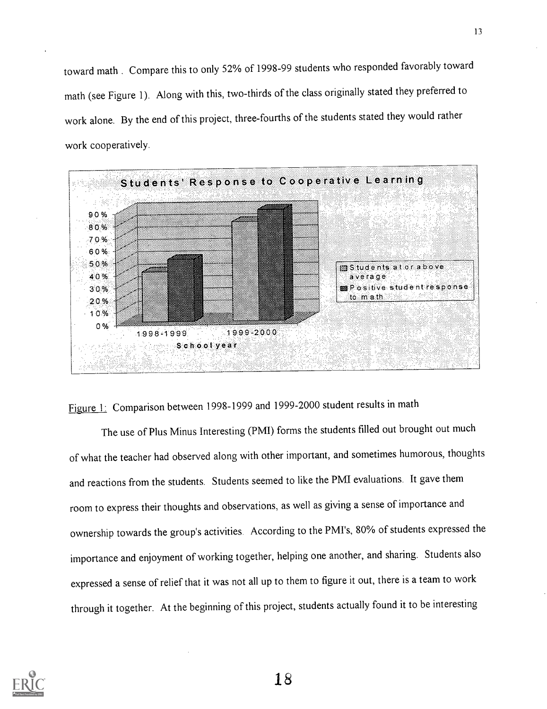toward math . Compare this to only 52% of 1998-99 students who responded favorably toward math (see Figure 1). Along with this, two-thirds of the class originally stated they preferred to work alone. By the end of this project, three-fourths of the students stated they would rather work cooperatively.



Figure 1: Comparison between 1998-1999 and 1999-2000 student results in math

The use of Plus Minus Interesting (PMI) forms the students filled out brought out much of what the teacher had observed along with other important, and sometimes humorous, thoughts and reactions from the students. Students seemed to like the PMI evaluations. It gave them room to express their thoughts and observations, as well as giving a sense ofimportance and ownership towards the group's activities. According to the PMI's, 80% of students expressed the importance and enjoyment of working together, helping one another, and sharing. Students also expressed a sense of relief that it was not all up to them to figure it out, there is a team to work through it together. At the beginning of this project, students actually found it to be interesting

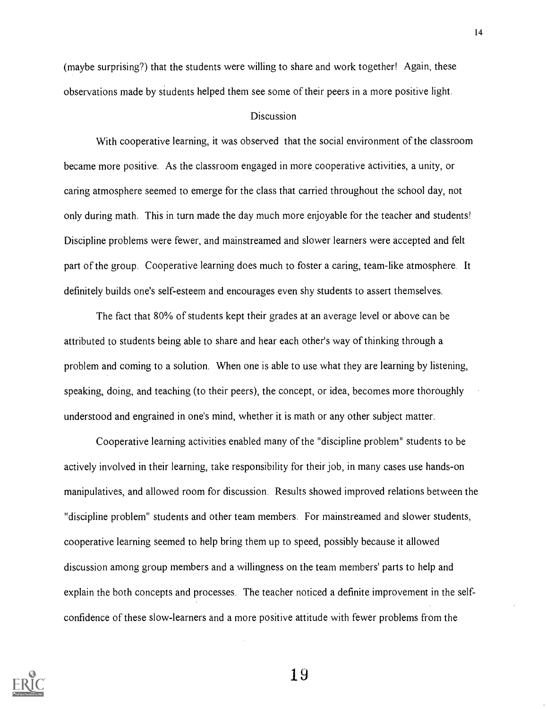(maybe surprising?) that the students were willing to share and work together! Again, these observations made by students helped them see some of their peers in a more positive light.

#### **Discussion**

With cooperative learning, it was observed that the social environment of the classroom became more positive. As the classroom engaged in more cooperative activities, a unity, or caring atmosphere seemed to emerge for the class that carried throughout the school day, not only during math. This in turn made the day much more enjoyable for the teacher and students! Discipline problems were fewer, and mainstreamed and slower learners were accepted and felt part of the group. Cooperative learning does much to foster a caring, team-like atmosphere. It definitely builds one's self-esteem and encourages even shy students to assert themselves.

The fact that 80% of students kept their grades at an average level or above can be attributed to students being able to share and hear each other's way of thinking through a problem and coming to a solution. When one is able to use what they are learning by listening, speaking, doing, and teaching (to their peers), the concept, or idea, becomes more thoroughly understood and engrained in one's mind, whether it is math or any other subject matter.

Cooperative learning activities enabled many of the "discipline problem" students to be actively involved in their learning, take responsibility for their job, in many cases use hands-on manipulatives, and allowed room for discussion. Results showed improved relations between the "discipline problem" students and other team members. For mainstreamed and slower students, cooperative learning seemed to help bring them up to speed, possibly because it allowed discussion among group members and a willingness on the team members' parts to help and explain the both concepts and processes. The teacher noticed a definite improvement in the selfconfidence of these slow-learners and a more positive attitude with fewer problems from the

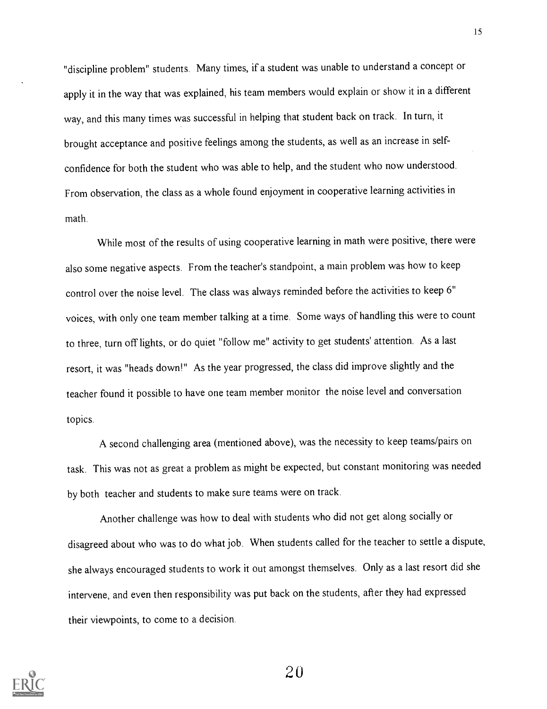"discipline problem" students. Many times, if a student was unable to understand a concept or apply it in the way that was explained, his team members would explain or show it in a different way, and this many times was successful in helping that student back on track. In turn, it brought acceptance and positive feelings among the students, as well as an increase in selfconfidence for both the student who was able to help, and the student who now understood. From observation, the class as a whole found enjoyment in cooperative learning activities in math.

While most of the results of using cooperative learning in math were positive, there were also some negative aspects. From the teacher's standpoint, a main problem was how to keep control over the noise level. The class was always reminded before the activities to keep 6" voices, with only one team member talking at a time. Some ways of handling this were to count to three, turn off lights, or do quiet "follow me" activity to get students' attention. As a last resort, it was "heads down!" As the year progressed, the class did improve slightly and the teacher found it possible to have one team member monitor the noise level and conversation topics.

A second challenging area (mentioned above), was the necessity to keep teams/pairs on task. This was not as great a problem as might be expected, but constant monitoring was needed by both teacher and students to make sure teams were on track.

Another challenge was how to deal with students who did not get along socially or disagreed about who was to do what job. When students called for the teacher to settle a dispute, she always encouraged students to work it out amongst themselves. Only as a last resort did she intervene, and even then responsibility was put back on the students, after they had expressed their viewpoints, to come to a decision.

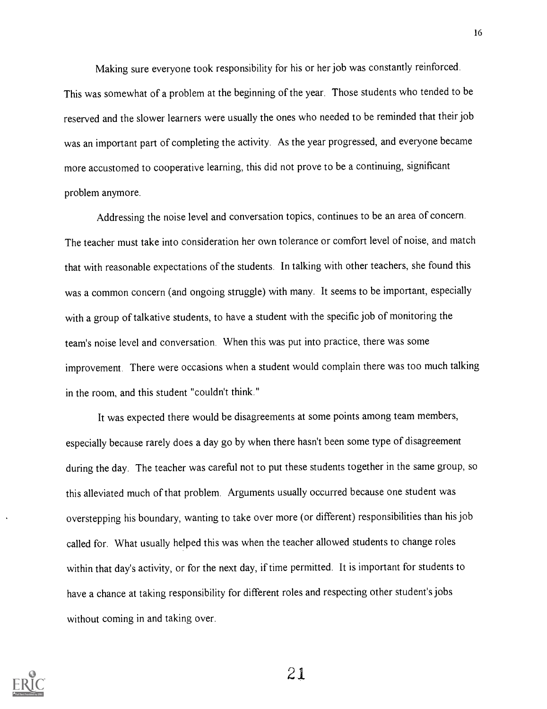Making sure everyone took responsibility for his or her job was constantly reinforced. This was somewhat of a problem at the beginning of the year. Those students who tended to be reserved and the slower learners were usually the ones who needed to be reminded that their job was an important part of completing the activity. As the year progressed, and everyone became more accustomed to cooperative learning, this did not prove to be a continuing, significant problem anymore.

Addressing the noise level and conversation topics, continues to be an area of concern. The teacher must take into consideration her own tolerance or comfort level of noise, and match that with reasonable expectations of the students. In talking with other teachers, she found this was a common concern (and ongoing struggle) with many. It seems to be important, especially with a group of talkative students, to have a student with the specific job of monitoring the team's noise level and conversation. When this was put into practice, there was some improvement. There were occasions when a student would complain there was too much talking in the room, and this student "couldn't think."

It was expected there would be disagreements at some points among team members, especially because rarely does a day go by when there hasn't been some type of disagreement during the day. The teacher was careful not to put these students together in the same group, so this alleviated much of that problem. Arguments usually occurred because one student was overstepping his boundary, wanting to take over more (or different) responsibilities than his job called for. What usually helped this was when the teacher allowed students to change roles within that day's activity, or for the next day, if time permitted. It is important for students to have a chance at taking responsibility for different roles and respecting other student's jobs without coming in and taking over.

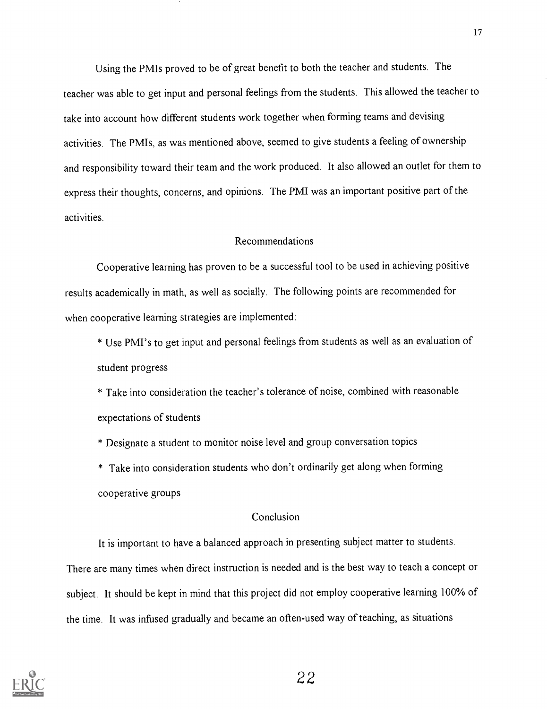Using the PMIs proved to be of great benefit to both the teacher and students. The teacher was able to get input and personal feelings from the students. This allowed the teacher to take into account how different students work together when forming teams and devising activities. The PMIs, as was mentioned above, seemed to give students a feeling of ownership and responsibility toward their team and the work produced. It also allowed an outlet for them to express their thoughts, concerns, and opinions. The PMI was an important positive part of the activities.

#### Recommendations

Cooperative learning has proven to be a successful tool to be used in achieving positive results academically in math, as well as socially. The following points are recommended for when cooperative learning strategies are implemented:

\* Use PMI's to get input and personal feelings from students as well as an evaluation of student progress

\* Take into consideration the teacher's tolerance of noise, combined with reasonable expectations of students

\* Designate a student to monitor noise level and group conversation topics

\* Take into consideration students who don't ordinarily get along when forming cooperative groups

#### Conclusion

It is important to have a balanced approach in presenting subject matter to students. There are many times when direct instruction is needed and is the best way to teach a concept or subject. It should be kept in mind that this project did not employ cooperative learning 100% of the time. It was infused gradually and became an often-used way of teaching, as situations

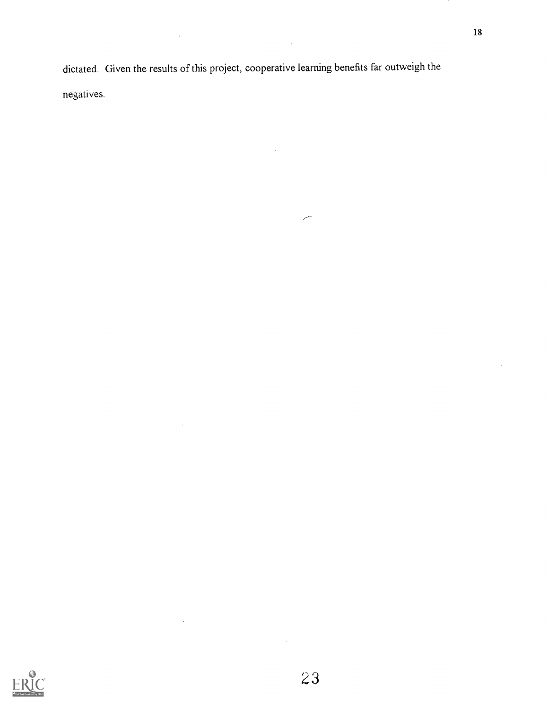dictated. Given the results of this project, cooperative learning benefits far outweigh the negatives.

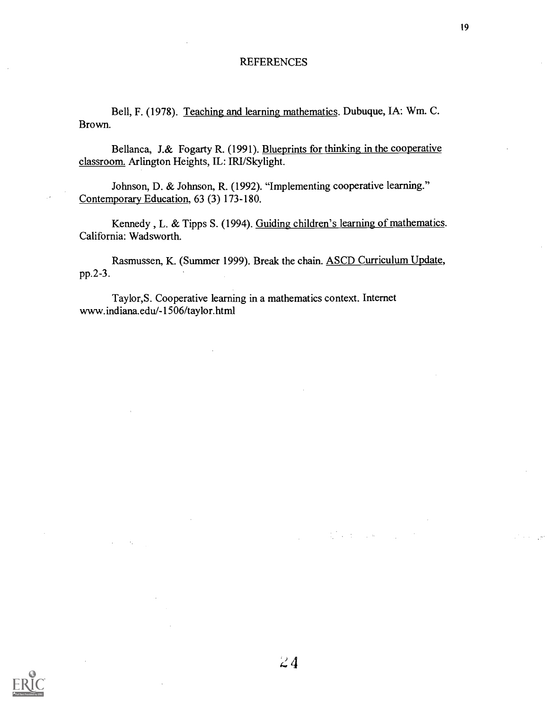#### **REFERENCES**

Bell, F. (1978). Teaching and learning mathematics. Dubuque, IA: Wm. C. Brown.

Bellanca, J.& Fogarty R. (1991). Blueprints for thinking in the cooperative classroom. Arlington Heights, IL: IRI/Skylight.

Johnson, D. & Johnson, R. (1992). "Implementing cooperative learning." Contemporary Education, 63 (3) 173-180.

Kennedy , L. & Tipps S. (1994). Guiding children's learning of mathematics. California: Wadsworth.

Rasmussen, K. (Summer 1999). Break the chain. ASCD Curriculum Update, pp.2-3.

 $24$ 

Taylor,S. Cooperative learning in a mathematics context. Internet www.indiana.edu/-1506/taylor.html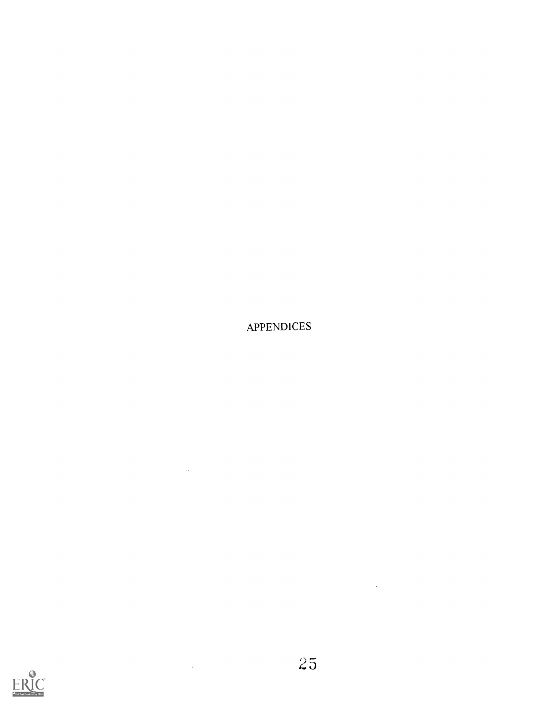

 $\mathcal{L}^{\text{max}}_{\text{max}}$  , where  $\mathcal{L}^{\text{max}}_{\text{max}}$ 

 $\hat{f}(\hat{f})$  and  $\hat{f}(\hat{f})$ 



 $\sim$   $\sim$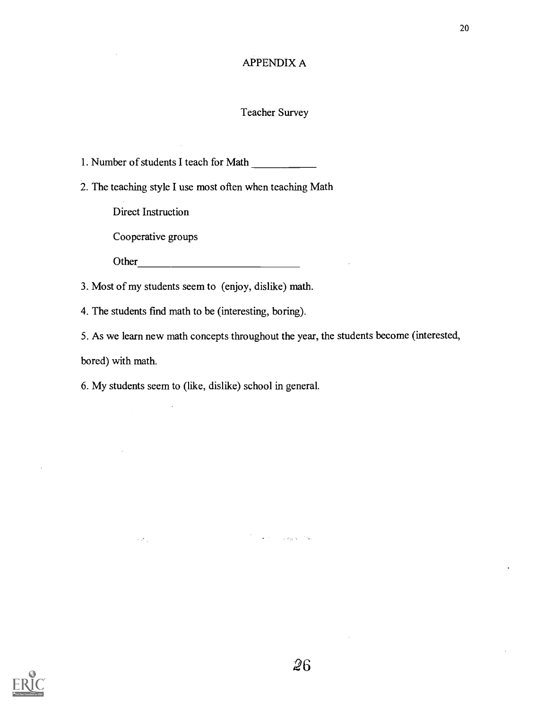#### APPENDIX A

#### Teacher Survey

1. Number of students I teach for Math

2. The teaching style I use most often when teaching Math

Direct Instruction

Cooperative groups

Other

3. Most of my students seem to (enjoy, dislike) math.

4. The students find math to be (interesting, boring).

5. As we learn new math concepts throughout the year, the students become (interested,

bored) with math.

6. My students seem to (like, dislike) school in general.

 $\mathcal{L}$ 

 $\sim 2\epsilon_{\rm eff}$ 



 $\overline{\omega}6$ 

يكاد ولهيت المحاجرة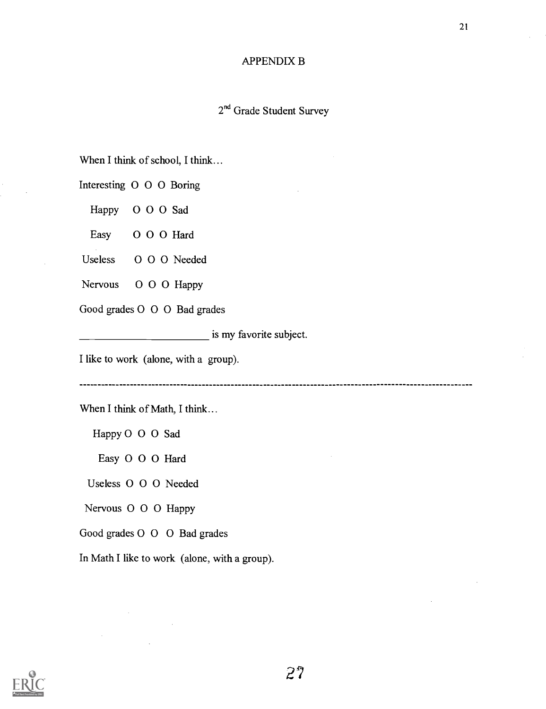#### APPENDIX B

21

## 2<sup>nd</sup> Grade Student Survey

When I think of school, I think...

Interesting 0 0 0 Boring

Happy 0 0 0 Sad

Easy 0 0 0 Hard

Useless 0 0 0 Needed

Nervous O O O Happy

Good grades 0 0 0 Bad grades

**is my favorite subject.** 

I like to work (alone, with a group).

When I think of Math, I think...

Happy 0 0 0 Sad

Easy 0 0 0 Hard

Useless 0 0 0 Needed

Nervous 0 0 0 Happy

Good grades 0 0 0 Bad grades

In Math I like to work (alone, with a group).

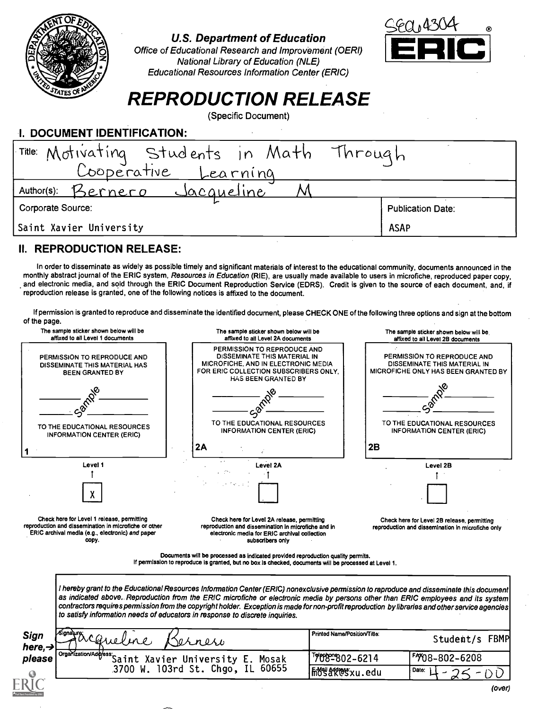

### U.S. Department of Education

Office of Educational Research and Improvement (OERI) National Library of Education (NLE) Educational Resources Information Center (ERIC)



## REPRODUCTION RELEASE

(Specific Document)

| I. DOCUMENT IDENTIFICATION:                                        |                          |  |  |  |
|--------------------------------------------------------------------|--------------------------|--|--|--|
|                                                                    |                          |  |  |  |
| Title: Motivating Students in Math Through<br>Cooperative Learning |                          |  |  |  |
| Author(s): Bernero<br><u>Sacqueline</u>                            |                          |  |  |  |
| Corporate Source:                                                  | <b>Publication Date:</b> |  |  |  |
| Saint Xavier University                                            | <b>ASAP</b>              |  |  |  |

## II. REPRODUCTION RELEASE:

In order to disseminate as widely as possible timely and significant materials of interest to the educational community, documents announced in the monthly abstract journal of the ERIC system, Resources in Education (RIE), are usually made available to users in microfiche, reproduced paper copy, and electronic media, and sold through the ERIC Document Reproduction Service (EDRS). Credit is given to the source of each document, and, if reproduction release is granted, one of the following notices is affixed to the document.

If permission is granted to reproduce and disseminate the identified document, please CHECK ONE of the following three options and sign at the bottom of the page.

| The sample sticker shown below will be<br>affixed to all Level 1 documents                                                                                       | The sample sticker shown below will be<br>affixed to all Level 2A documents                                                                                                              | The sample sticker shown below will be<br>affixed to all Level 2B documents                                                                                                                                                                                                                                                                                                                                                       |
|------------------------------------------------------------------------------------------------------------------------------------------------------------------|------------------------------------------------------------------------------------------------------------------------------------------------------------------------------------------|-----------------------------------------------------------------------------------------------------------------------------------------------------------------------------------------------------------------------------------------------------------------------------------------------------------------------------------------------------------------------------------------------------------------------------------|
| PERMISSION TO REPRODUCE AND<br>DISSEMINATE THIS MATERIAL HAS<br><b>BEEN GRANTED BY</b>                                                                           | PERMISSION TO REPRODUCE AND<br>DISSEMINATE THIS MATERIAL IN<br>MICROFICHE, AND IN ELECTRONIC MEDIA<br>FOR ERIC COLLECTION SUBSCRIBERS ONLY.<br>HAS BEEN GRANTED BY                       | PERMISSION TO REPRODUCE AND<br>DISSEMINATE THIS MATERIAL IN<br>MICROFICHE ONLY HAS BEEN GRANTED BY                                                                                                                                                                                                                                                                                                                                |
|                                                                                                                                                                  |                                                                                                                                                                                          |                                                                                                                                                                                                                                                                                                                                                                                                                                   |
| TO THE EDUCATIONAL RESOURCES<br><b>INFORMATION CENTER (ERIC)</b>                                                                                                 | TO THE EDUCATIONAL RESOURCES<br><b>INFORMATION CENTER (ERIC)</b>                                                                                                                         | TO THE EDUCATIONAL RESOURCES<br><b>INFORMATION CENTER (ERIC)</b>                                                                                                                                                                                                                                                                                                                                                                  |
|                                                                                                                                                                  | 2A                                                                                                                                                                                       | 2B                                                                                                                                                                                                                                                                                                                                                                                                                                |
| Level 1                                                                                                                                                          | Level 2A                                                                                                                                                                                 | Level 2B                                                                                                                                                                                                                                                                                                                                                                                                                          |
|                                                                                                                                                                  |                                                                                                                                                                                          |                                                                                                                                                                                                                                                                                                                                                                                                                                   |
| Check here for Level 1 release, permitting<br>reproduction and dissemination in microfiche or other<br>ERIC archival media (e.g., electronic) and paper<br>copy. | Check here for Level 2A release, permitting<br>reproduction and dissemination in microfiche and in<br>electronic media for ERIC archival collection<br>subscribers only                  | Check here for Level 2B release, permitting<br>reproduction and dissemination in microfiche only                                                                                                                                                                                                                                                                                                                                  |
|                                                                                                                                                                  | Documents will be processed as indicated provided reproduction quality permits.<br>If permission to reproduce is granted, but no box is checked, documents will be processed at Level 1. |                                                                                                                                                                                                                                                                                                                                                                                                                                   |
|                                                                                                                                                                  | to satisfy information needs of educators in response to discrete inquiries.                                                                                                             | I hereby grant to the Educational Resources Information Center (ERIC) nonexclusive permission to raproduce and disseminate this document<br>as indicated above. Reproduction from the ERIC microfiche or electronic media by persons other than ERIC employees and its system<br>contractors requires permission from the copyright holder. Exception is made for non-profit reproduction by libraries and other service agencies |
|                                                                                                                                                                  |                                                                                                                                                                                          |                                                                                                                                                                                                                                                                                                                                                                                                                                   |
| <b>Sign</b>                                                                                                                                                      | snesi                                                                                                                                                                                    | Printed Name/Position/Title:<br>Student/s FBMP                                                                                                                                                                                                                                                                                                                                                                                    |
| here, $\rightarrow$<br>Organization/Address:<br>please                                                                                                           | Saint Xavier University E. Mosak<br>3700 W. 103rd St. Chgo, IL 60655                                                                                                                     | 7089802-6214<br><b>7708-802-6208</b>                                                                                                                                                                                                                                                                                                                                                                                              |